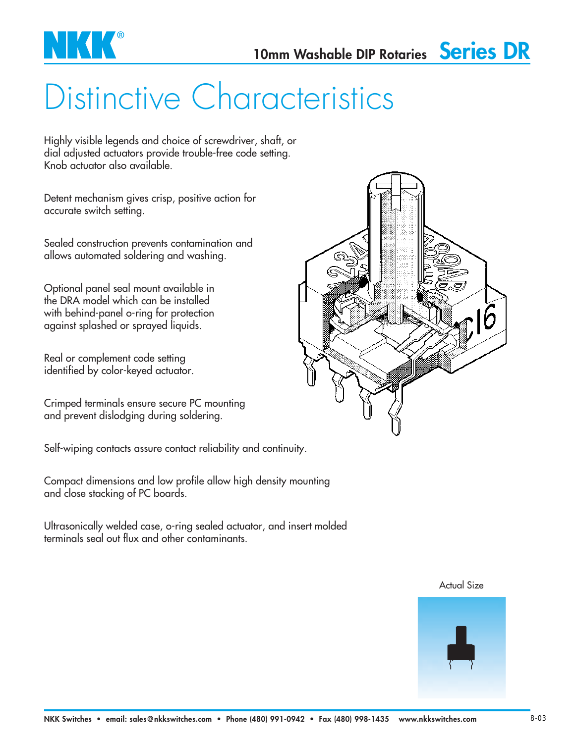

## Distinctive Characteristics

Highly visible legends and choice of screwdriver, shaft, or dial adjusted actuators provide trouble-free code setting. Knob actuator also available.

Detent mechanism gives crisp, positive action for accurate switch setting.

Sealed construction prevents contamination and allows automated soldering and washing.

Optional panel seal mount available in the DRA model which can be installed with behind-panel o-ring for protection against splashed or sprayed liquids.

Real or complement code setting identified by color-keyed actuator.

Crimped terminals ensure secure PC mounting and prevent dislodging during soldering.

Self-wiping contacts assure contact reliability and continuity.

Compact dimensions and low profile allow high density mounting and close stacking of PC boards.

Ultrasonically welded case, o-ring sealed actuator, and insert molded terminals seal out flux and other contaminants.





#### Actual Size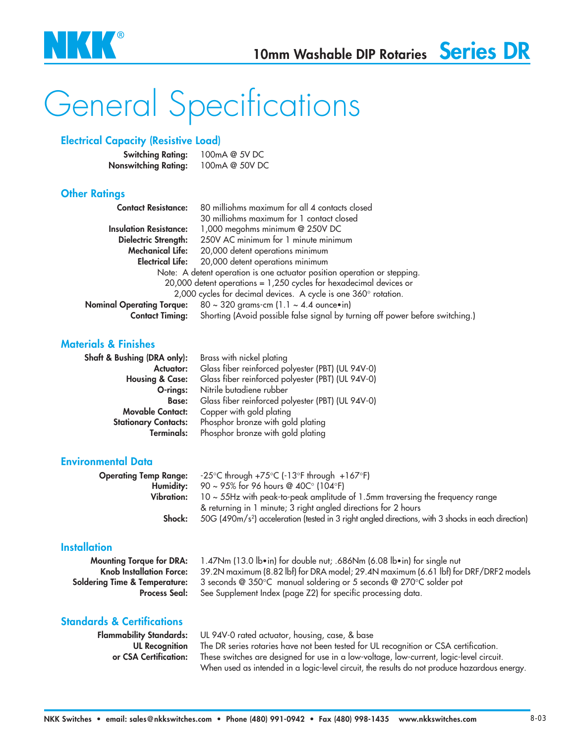

# General Specifications

### **Electrical Capacity (Resistive Load)**

| <b>Switching Rating:</b>    | 100mA @ 5V DC  |
|-----------------------------|----------------|
| <b>Nonswitching Rating:</b> | 100mA @ 50V DC |

#### **Other Ratings**

| <b>Contact Resistance:</b>                                               | 80 milliohms maximum for all 4 contacts closed                                |  |
|--------------------------------------------------------------------------|-------------------------------------------------------------------------------|--|
|                                                                          | 30 milliohms maximum for 1 contact closed                                     |  |
| <b>Insulation Resistance:</b>                                            | 1,000 megohms minimum @ 250V DC                                               |  |
| Dielectric Strength:                                                     | 250V AC minimum for 1 minute minimum                                          |  |
| <b>Mechanical Life:</b>                                                  | 20,000 detent operations minimum                                              |  |
| <b>Electrical Life:</b>                                                  | 20,000 detent operations minimum                                              |  |
| Note: A detent operation is one actuator position operation or stepping. |                                                                               |  |
|                                                                          | 20,000 detent operations = 1,250 cycles for hexadecimal devices or            |  |
| 2,000 cycles for decimal devices. A cycle is one 360° rotation.          |                                                                               |  |
| <b>Nominal Operating Torque:</b>                                         | $80 \sim 320$ grams-cm (1.1 $\sim 4.4$ ounce•in)                              |  |
| <b>Contact Timing:</b>                                                   | Shorting (Avoid possible false signal by turning off power before switching.) |  |

#### **Materials & Finishes**

| Shaft & Bushing (DRA only): | Brass with nickel plating                         |  |
|-----------------------------|---------------------------------------------------|--|
| Actuator:                   | Glass fiber reinforced polyester (PBT) (UL 94V-0) |  |
| <b>Housing &amp; Case:</b>  | Glass fiber reinforced polyester (PBT) (UL 94V-0) |  |
| O-rings:                    | Nitrile butadiene rubber                          |  |
| <b>Base:</b>                | Glass fiber reinforced polyester (PBT) (UL 94V-0) |  |
| <b>Movable Contact:</b>     | Copper with gold plating                          |  |
| <b>Stationary Contacts:</b> | Phosphor bronze with gold plating                 |  |
| Terminals:                  | Phosphor bronze with gold plating                 |  |

#### **Environmental Data**

|            | <b>Operating Temp Range:</b> $-25^{\circ}$ C through $+75^{\circ}$ C ( $-13^{\circ}$ F through $+167^{\circ}$ F) |
|------------|------------------------------------------------------------------------------------------------------------------|
|            | <b>Humidity:</b> 90 ~ 95% for 96 hours @ 40C° (104°F)                                                            |
| Vibration: | $10 \sim 55$ Hz with peak-to-peak amplitude of 1.5mm traversing the frequency range                              |
|            | & returning in 1 minute; 3 right angled directions for 2 hours                                                   |
| Shock:     | 50G (490m/s <sup>2</sup> ) acceleration (tested in 3 right angled directions, with 3 shocks in each direction)   |
|            |                                                                                                                  |

#### **Installation**

**Mounting Torque for DRA:** 1.47Nm (13.0 lb•in) for double nut; .686Nm (6.08 lb•in) for single nut **Knob Installation Force:** 39.2N maximum (8.82 lbf) for DRA model; 29.4N maximum (6.61 lbf) for DRF/DRF2 models **Soldering Time & Temperature:** 3 seconds @ 350°C manual soldering or 5 seconds @ 270°C solder pot Process Seal: See Supplement Index (page Z2) for specific processing data.

### **Standards & Certifications**

**Flammability Standards:** UL 94V-0 rated actuator, housing, case, & base **UL Recognition** The DR series rotaries have not been tested for UL recognition or CSA certification. **or CSA Certification:** These switches are designed for use in a low-voltage, low-current, logic-level circuit. When used as intended in a logic-level circuit, the results do not produce hazardous energy.